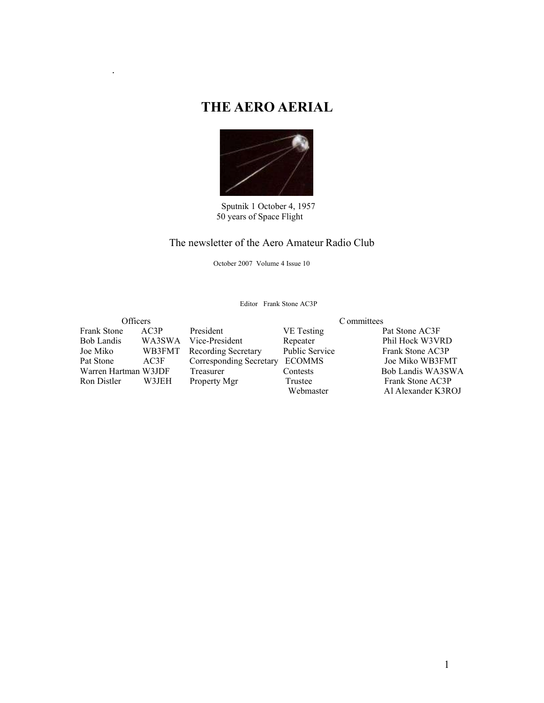# **THE AERO AERIAL**

.



 Sputnik 1 October 4, 1957 50 years of Space Flight

### The newsletter of the Aero Amateur Radio Club

October 2007 Volume 4 Issue 10

Editor Frank Stone AC3P

| <b>Officers</b>      |        | C ommittees             |                       |                                        |  |  |
|----------------------|--------|-------------------------|-----------------------|----------------------------------------|--|--|
| <b>Frank Stone</b>   | AC3P   | President               | VE Testing            | Pat Stone AC3F                         |  |  |
| <b>Bob Landis</b>    | WA3SWA | Vice-President          | Repeater              | Phil Hock W3VRD                        |  |  |
| Joe Miko             | WB3FMT | Recording Secretary     | <b>Public Service</b> | Frank Stone AC3P                       |  |  |
| Pat Stone            | AC3F   | Corresponding Secretary | <b>ECOMMS</b>         | Joe Miko WB3FMT                        |  |  |
| Warren Hartman W3JDF |        | Treasurer               | Contests              | Bob Landis WA3SWA                      |  |  |
| Ron Distler          | W3JEH  | Property Mgr            | Trustee<br>Webmaster  | Frank Stone AC3P<br>Al Alexander K3ROJ |  |  |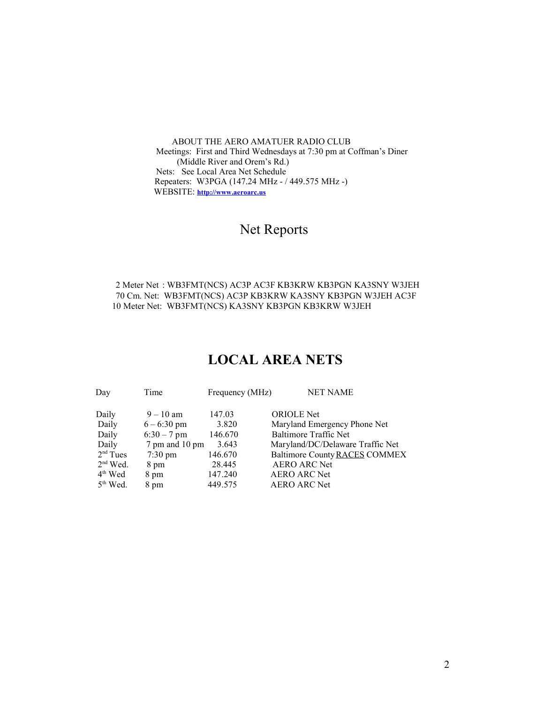ABOUT THE AERO AMATUER RADIO CLUB Meetings: First and Third Wednesdays at 7:30 pm at Coffman's Diner (Middle River and Orem's Rd.) Nets: See Local Area Net Schedule Repeaters: W3PGA (147.24 MHz - / 449.575 MHz -) WEBSITE: **http://www.aeroarc.us**

# Net Reports

 2 Meter Net : WB3FMT(NCS) AC3P AC3F KB3KRW KB3PGN KA3SNY W3JEH 70 Cm. Net: WB3FMT(NCS) AC3P KB3KRW KA3SNY KB3PGN W3JEH AC3F 10 Meter Net: WB3FMT(NCS) KA3SNY KB3PGN KB3KRW W3JEH

# **LOCAL AREA NETS**

| Day        | Time              | Frequency (MHz) | <b>NET NAME</b>                  |
|------------|-------------------|-----------------|----------------------------------|
| Daily      | $9 - 10$ am       | 147.03          | <b>ORIOLE</b> Net                |
| Daily      | $6 - 6:30$ pm     | 3.820           | Maryland Emergency Phone Net     |
| Daily      | $6:30 - 7$ pm     | 146.670         | <b>Baltimore Traffic Net</b>     |
| Daily      | 7 pm and 10 pm    | 3.643           | Maryland/DC/Delaware Traffic Net |
| $2nd$ Tues | $7:30 \text{ pm}$ | 146.670         | Baltimore County RACES COMMEX    |
| $2nd$ Wed. | 8 pm              | 28.445          | <b>AERO ARC Net</b>              |
| $4th$ Wed  | 8 pm              | 147.240         | <b>AERO ARC Net</b>              |
| $5th$ Wed. | 8 pm              | 449.575         | <b>AERO ARC Net</b>              |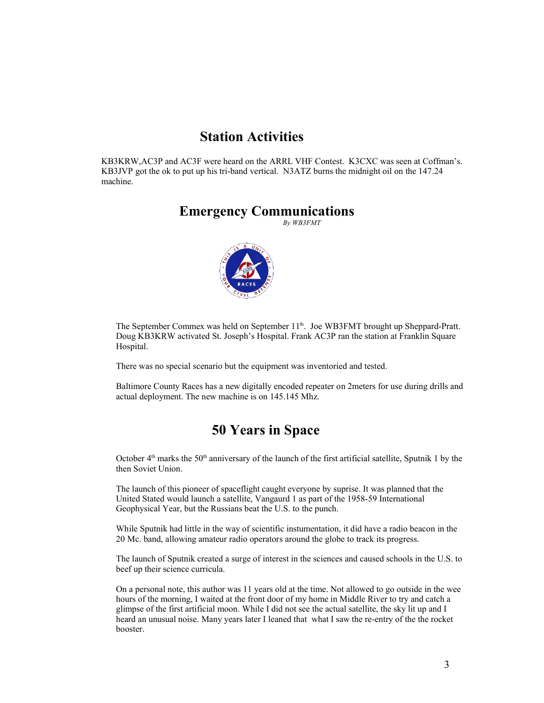### **Station Activities**

KB3KRW,AC3P and AC3F were heard on the ARRL VHF Contest. K3CXC was seen at Coffman's. KB3JVP got the ok to put up his tri-band vertical. N3ATZ burns the midnight oil on the 147.24 machine.

### **Emergency Communications**

 *By WB3FMT*



The September Commex was held on September 11<sup>th</sup>. Joe WB3FMT brought up Sheppard-Pratt. Doug KB3KRW activated St. Joseph's Hospital. Frank AC3P ran the station at Franklin Square Hospital.

There was no special scenario but the equipment was inventoried and tested.

Baltimore County Races has a new digitally encoded repeater on 2meters for use during drills and actual deployment. The new machine is on 145.145 Mhz.

### **50 Years in Space**

October  $4<sup>th</sup>$  marks the 50<sup>th</sup> anniversary of the launch of the first artificial satellite, Sputnik 1 by the then Soviet Union.

The launch of this pioneer of spaceflight caught everyone by suprise. It was planned that the United Stated would launch a satellite, Vangaurd 1 as part of the 1958-59 International Geophysical Year, but the Russians beat the U.S. to the punch.

While Sputnik had little in the way of scientific instumentation, it did have a radio beacon in the 20 Mc. band, allowing amateur radio operators around the globe to track its progress.

The launch of Sputnik created a surge of interest in the sciences and caused schools in the U.S. to beef up their science curricula.

On a personal note, this author was 11 years old at the time. Not allowed to go outside in the wee hours of the morning, I waited at the front door of my home in Middle River to try and catch a glimpse of the first artificial moon. While I did not see the actual satellite, the sky lit up and I heard an unusual noise. Many years later I leaned that what I saw the re-entry of the the rocket booster.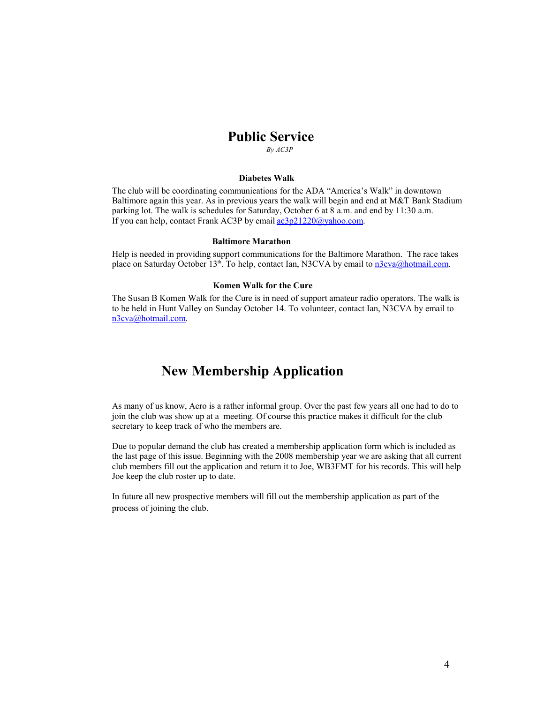### **Public Service**

 *By AC3P*

#### **Diabetes Walk**

The club will be coordinating communications for the ADA "America's Walk" in downtown Baltimore again this year. As in previous years the walk will begin and end at M&T Bank Stadium parking lot. The walk is schedules for Saturday, October 6 at 8 a.m. and end by 11:30 a.m. If you can help, contact Frank AC3P by email  $a c3p21220$  (a) vahoo.com.

#### **Baltimore Marathon**

Help is needed in providing support communications for the Baltimore Marathon. The race takes place on Saturday October 13<sup>th</sup>. To help, contact Ian, N3CVA by email to n3cva@hotmail.com.

#### **Komen Walk for the Cure**

The Susan B Komen Walk for the Cure is in need of support amateur radio operators. The walk is to be held in Hunt Valley on Sunday October 14. To volunteer, contact Ian, N3CVA by email to n3cva@hotmail.com.

### **New Membership Application**

As many of us know, Aero is a rather informal group. Over the past few years all one had to do to join the club was show up at a meeting. Of course this practice makes it difficult for the club secretary to keep track of who the members are.

Due to popular demand the club has created a membership application form which is included as the last page of this issue. Beginning with the 2008 membership year we are asking that all current club members fill out the application and return it to Joe, WB3FMT for his records. This will help Joe keep the club roster up to date.

In future all new prospective members will fill out the membership application as part of the process of joining the club.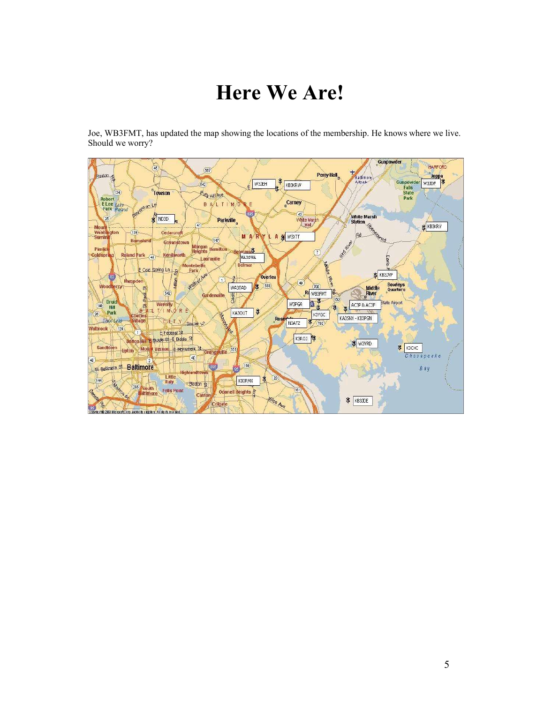# **Here We Are!**

Joe, WB3FMT, has updated the map showing the locations of the membership. He knows where we live. Should we worry?

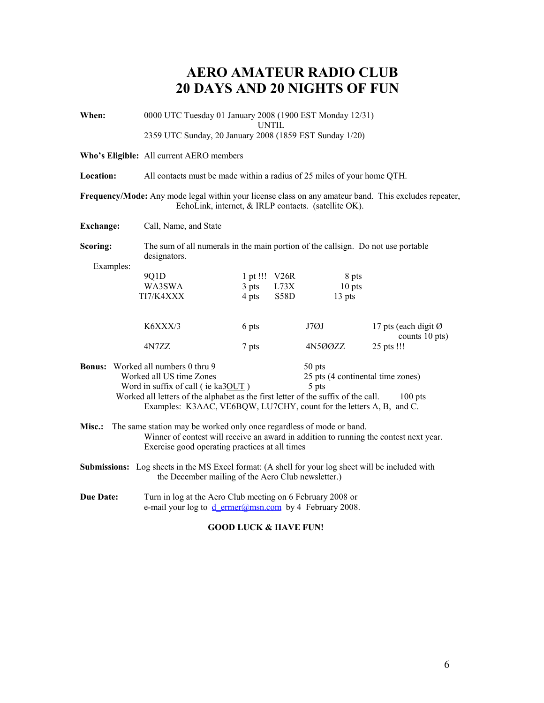# **AERO AMATEUR RADIO CLUB 20 DAYS AND 20 NIGHTS OF FUN**

| When:                                                                                                                                                                                                                                                                                                                                        | 0000 UTC Tuesday 01 January 2008 (1900 EST Monday 12/31)<br>UNTIL                                                                                              |          |      |         |                                        |
|----------------------------------------------------------------------------------------------------------------------------------------------------------------------------------------------------------------------------------------------------------------------------------------------------------------------------------------------|----------------------------------------------------------------------------------------------------------------------------------------------------------------|----------|------|---------|----------------------------------------|
|                                                                                                                                                                                                                                                                                                                                              | 2359 UTC Sunday, 20 January 2008 (1859 EST Sunday 1/20)                                                                                                        |          |      |         |                                        |
|                                                                                                                                                                                                                                                                                                                                              | Who's Eligible: All current AERO members                                                                                                                       |          |      |         |                                        |
| Location:                                                                                                                                                                                                                                                                                                                                    | All contacts must be made within a radius of 25 miles of your home QTH.                                                                                        |          |      |         |                                        |
|                                                                                                                                                                                                                                                                                                                                              | Frequency/Mode: Any mode legal within your license class on any amateur band. This excludes repeater,<br>EchoLink, internet, & IRLP contacts. (satellite OK).  |          |      |         |                                        |
| <b>Exchange:</b>                                                                                                                                                                                                                                                                                                                             | Call, Name, and State                                                                                                                                          |          |      |         |                                        |
| Scoring:<br>Examples:                                                                                                                                                                                                                                                                                                                        | The sum of all numerals in the main portion of the callsign. Do not use portable<br>designators.                                                               |          |      |         |                                        |
|                                                                                                                                                                                                                                                                                                                                              | 9Q1D                                                                                                                                                           | 1 pt !!! | V26R | 8 pts   |                                        |
|                                                                                                                                                                                                                                                                                                                                              | WA3SWA                                                                                                                                                         | $3$ pts  | L73X | 10 pts  |                                        |
|                                                                                                                                                                                                                                                                                                                                              | TI7/K4XXX                                                                                                                                                      | 4 pts    | S58D | 13 pts  |                                        |
|                                                                                                                                                                                                                                                                                                                                              | K6XXX/3                                                                                                                                                        | 6 pts    |      | J7ØJ    | 17 pts (each digit Ø<br>counts 10 pts) |
|                                                                                                                                                                                                                                                                                                                                              | 4N7ZZ                                                                                                                                                          | 7 pts    |      | 4N500ZZ | 25 pts !!!                             |
| <b>Bonus:</b> Worked all numbers 0 thru 9<br>50 pts<br>Worked all US time Zones<br>25 pts (4 continental time zones)<br>Word in suffix of call (ie ka3OUT)<br>5 pts<br>Worked all letters of the alphabet as the first letter of the suffix of the call.<br>$100$ pts<br>Examples: K3AAC, VE6BQW, LU7CHY, count for the letters A, B, and C. |                                                                                                                                                                |          |      |         |                                        |
| The same station may be worked only once regardless of mode or band.<br><b>Misc.:</b><br>Winner of contest will receive an award in addition to running the contest next year.<br>Exercise good operating practices at all times                                                                                                             |                                                                                                                                                                |          |      |         |                                        |
|                                                                                                                                                                                                                                                                                                                                              | <b>Submissions:</b> Log sheets in the MS Excel format: (A shell for your log sheet will be included with<br>the December mailing of the Aero Club newsletter.) |          |      |         |                                        |
| <b>Due Date:</b><br>Turn in log at the Aero Club meeting on 6 February 2008 or<br>e-mail your log to d ermer@msn.com by 4 February 2008.                                                                                                                                                                                                     |                                                                                                                                                                |          |      |         |                                        |

### **GOOD LUCK & HAVE FUN!**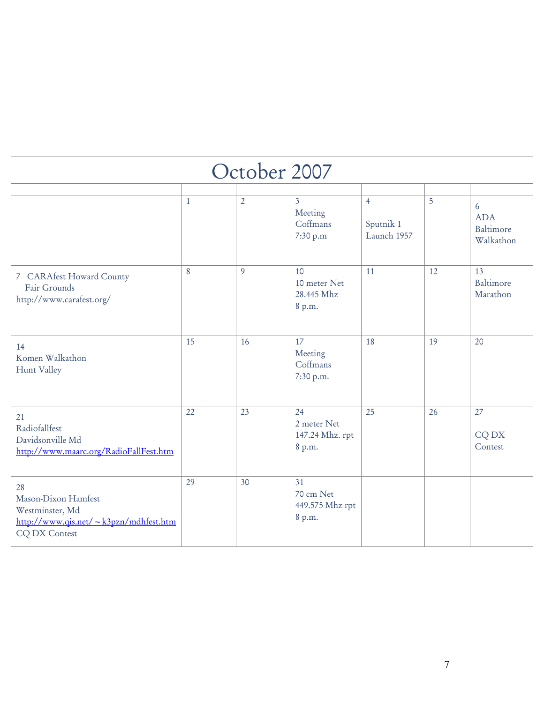| October 2007                                                                                           |              |                |                                                   |                                            |    |                                           |
|--------------------------------------------------------------------------------------------------------|--------------|----------------|---------------------------------------------------|--------------------------------------------|----|-------------------------------------------|
|                                                                                                        | $\mathbf{1}$ | $\overline{2}$ | $\overline{3}$<br>Meeting<br>Coffmans<br>7:30 p.m | $\overline{4}$<br>Sputnik 1<br>Launch 1957 | 5  | 6<br><b>ADA</b><br>Baltimore<br>Walkathon |
| 7 CARAfest Howard County<br>Fair Grounds<br>http://www.carafest.org/                                   | 8            | 9              | 10<br>10 meter Net<br>28.445 Mhz<br>8 p.m.        | 11                                         | 12 | 13<br>Baltimore<br>Marathon               |
| 14<br>Komen Walkathon<br>Hunt Valley                                                                   | 15           | 16             | 17<br>Meeting<br>Coffmans<br>7:30 p.m.            | 18                                         | 19 | 20                                        |
| 21<br>Radiofallfest<br>Davidsonville Md<br>http://www.maarc.org/RadioFallFest.htm                      | 22           | 23             | 24<br>2 meter Net<br>147.24 Mhz. rpt<br>8 p.m.    | 25                                         | 26 | 27<br>CQ DX<br>Contest                    |
| 28<br>Mason-Dixon Hamfest<br>Westminster, Md<br>http://www.qis.net/~k3pzn/mdhfest.htm<br>CQ DX Contest | 29           | 30             | 31<br>70 cm Net<br>449.575 Mhz rpt<br>8 p.m.      |                                            |    |                                           |